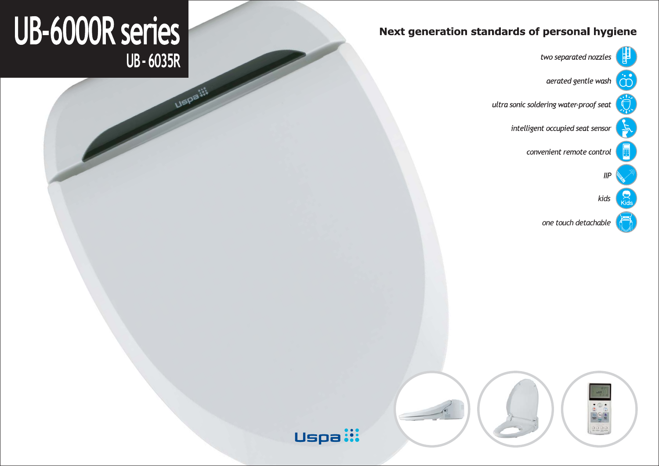## Next generation standards of personal hygiene



one touch detachable

two separated nozzles

aerated gentle wash

ultra sonic soldering water-proof seat

intelligent occupied seat sensor

convenient remote control





Uspa**:** 

# UB-6000R series UB - 6035R

**LISPE !!!**